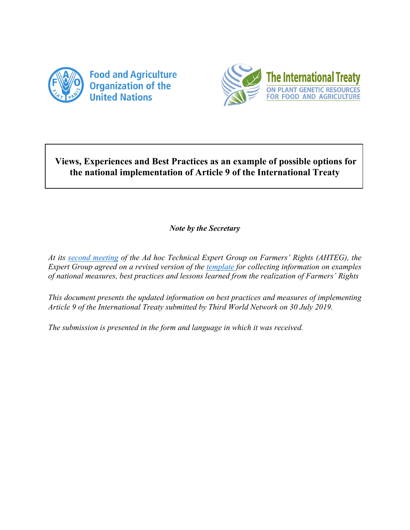



## **Views, Experiences and Best Practices as an example of possible options for the national implementation of Article 9 of the International Treaty**

## *Note by the Secretary*

*At its [second meeting](http://www.fao.org/3/ca4906en/ca4906en.pdf) of the Ad hoc Technical Expert Group on Farmers' Rights (AHTEG), the Expert Group agreed on a revised version of the [template](http://www.fao.org/3/ca4907en/ca4907en.docx) for collecting information on examples of national measures, best practices and lessons learned from the realization of Farmers' Rights*

*This document presents the updated information on best practices and measures of implementing Article 9 of the International Treaty submitted by Third World Network on 30 July 2019.* 

*The submission is presented in the form and language in which it was received.*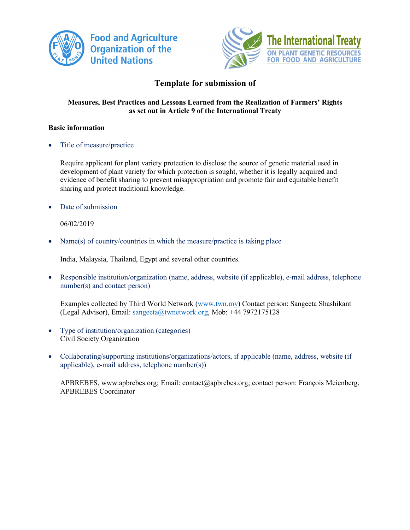



## **Template for submission of**

### **Measures, Best Practices and Lessons Learned from the Realization of Farmers' Rights as set out in Article 9 of the International Treaty**

### **Basic information**

• Title of measure/practice

Require applicant for plant variety protection to disclose the source of genetic material used in development of plant variety for which protection is sought, whether it is legally acquired and evidence of benefit sharing to prevent misappropriation and promote fair and equitable benefit sharing and protect traditional knowledge.

Date of submission

06/02/2019

Name(s) of country/countries in which the measure/practice is taking place

India, Malaysia, Thailand, Egypt and several other countries.

• Responsible institution/organization (name, address, website (if applicable), e-mail address, telephone number(s) and contact person)

Examples collected by Third World Network (www.twn.my) Contact person: Sangeeta Shashikant (Legal Advisor), Email: sangeeta@twnetwork.org, Mob: +44 7972175128

- Type of institution/organization (categories) Civil Society Organization
- Collaborating/supporting institutions/organizations/actors, if applicable (name, address, website (if applicable), e-mail address, telephone number(s))

APBREBES, www.apbrebes.org; Email: contact@apbrebes.org; contact person: François Meienberg, APBREBES Coordinator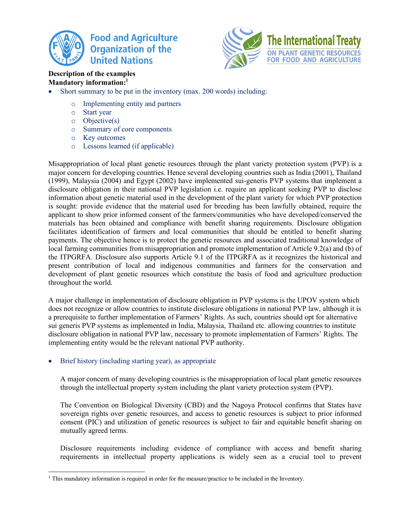



## **Description of the examples Mandatory information:1**

- Short summary to be put in the inventory (max. 200 words) including:
	- o Implementing entity and partners
	- o Start year
	- o Objective(s)
	- o Summary of core components
	- o Key outcomes
	- o Lessons learned (if applicable)

Misappropriation of local plant genetic resources through the plant variety protection system (PVP) is a major concern for developing countries. Hence several developing countries such as India (2001), Thailand (1999), Malaysia (2004) and Egypt (2002) have implemented sui-generis PVP systems that implement a disclosure obligation in their national PVP legislation i.e. require an applicant seeking PVP to disclose information about genetic material used in the development of the plant variety for which PVP protection is sought: provide evidence that the material used for breeding has been lawfully obtained, require the applicant to show prior informed consent of the farmers/communities who have developed/conserved the materials has been obtained and compliance with benefit sharing requirements. Disclosure obligation facilitates identification of farmers and local communities that should be entitled to benefit sharing payments. The objective hence is to protect the genetic resources and associated traditional knowledge of local farming communities from misappropriation and promote implementation of Article 9.2(a) and (b) of the ITPGRFA. Disclosure also supports Article 9.1 of the ITPGRFA as it recognizes the historical and present contribution of local and indigenous communities and farmers for the conservation and development of plant genetic resources which constitute the basis of food and agriculture production throughout the world.

A major challenge in implementation of disclosure obligation in PVP systems is the UPOV system which does not recognize or allow countries to institute disclosure obligations in national PVP law, although it is a prerequisite to further implementation of Farmers' Rights. As such, countries should opt for alternative sui generis PVP systems as implemented in India, Malaysia, Thailand etc. allowing countries to institute disclosure obligation in national PVP law, necessary to promote implementation of Farmers' Rights. The implementing entity would be the relevant national PVP authority.

• Brief history (including starting year), as appropriate

A major concern of many developing countries is the misappropriation of local plant genetic resources through the intellectual property system including the plant variety protection system (PVP).

The Convention on Biological Diversity (CBD) and the Nagoya Protocol confirms that States have sovereign rights over genetic resources, and access to genetic resources is subject to prior informed consent (PIC) and utilization of genetic resources is subject to fair and equitable benefit sharing on mutually agreed terms.

Disclosure requirements including evidence of compliance with access and benefit sharing requirements in intellectual property applications is widely seen as a crucial tool to prevent

<sup>&</sup>lt;sup>1</sup> This mandatory information is required in order for the measure/practice to be included in the Inventory.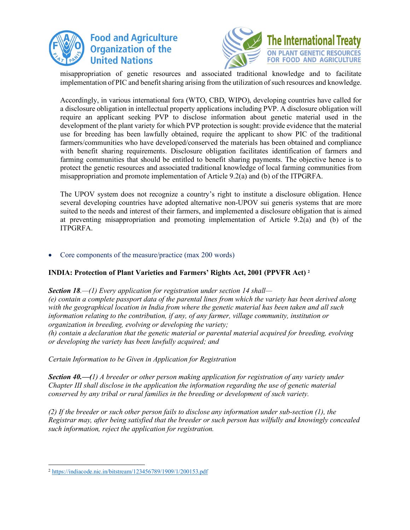



misappropriation of genetic resources and associated traditional knowledge and to facilitate implementation of PIC and benefit sharing arising from the utilization of such resources and knowledge.

Accordingly, in various international fora (WTO, CBD, WIPO), developing countries have called for a disclosure obligation in intellectual property applications including PVP. A disclosure obligation will require an applicant seeking PVP to disclose information about genetic material used in the development of the plant variety for which PVP protection is sought: provide evidence that the material use for breeding has been lawfully obtained, require the applicant to show PIC of the traditional farmers/communities who have developed/conserved the materials has been obtained and compliance with benefit sharing requirements. Disclosure obligation facilitates identification of farmers and farming communities that should be entitled to benefit sharing payments. The objective hence is to protect the genetic resources and associated traditional knowledge of local farming communities from misappropriation and promote implementation of Article 9.2(a) and (b) of the ITPGRFA.

The UPOV system does not recognize a country's right to institute a disclosure obligation. Hence several developing countries have adopted alternative non-UPOV sui generis systems that are more suited to the needs and interest of their farmers, and implemented a disclosure obligation that is aimed at preventing misappropriation and promoting implementation of Article 9.2(a) and (b) of the ITPGRFA.

## • Core components of the measure/practice (max 200 words)

## **INDIA: Protection of Plant Varieties and Farmers' Rights Act, 2001 (PPVFR Act) 2**

*Section 18.—(1) Every application for registration under section 14 shall— (e) contain a complete passport data of the parental lines from which the variety has been derived along with the geographical location in India from where the genetic material has been taken and all such information relating to the contribution, if any, of any farmer, village community, institution or organization in breeding, evolving or developing the variety; (h) contain a declaration that the genetic material or parental material acquired for breeding, evolving or developing the variety has been lawfully acquired; and* 

*Certain Information to be Given in Application for Registration* 

*Section 40.—(1) A breeder or other person making application for registration of any variety under Chapter III shall disclose in the application the information regarding the use of genetic material conserved by any tribal or rural families in the breeding or development of such variety.* 

*(2) If the breeder or such other person fails to disclose any information under sub-section (1), the Registrar may, after being satisfied that the breeder or such person has wilfully and knowingly concealed such information, reject the application for registration.* 

 <sup>2</sup> https://indiacode.nic.in/bitstream/123456789/1909/1/200153.pdf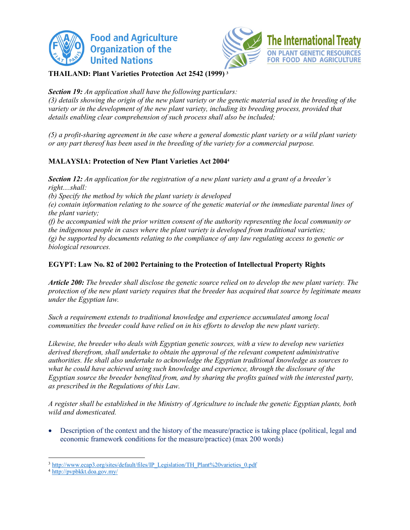



## **THAILAND: Plant Varieties Protection Act 2542 (1999) 3**

## *Section 19: An application shall have the following particulars:*

*(3) details showing the origin of the new plant variety or the genetic material used in the breeding of the variety or in the development of the new plant variety, including its breeding process, provided that details enabling clear comprehension of such process shall also be included;* 

*(5) a profit-sharing agreement in the case where a general domestic plant variety or a wild plant variety or any part thereof has been used in the breeding of the variety for a commercial purpose.* 

## **MALAYSIA: Protection of New Plant Varieties Act 20044**

*Section 12: An application for the registration of a new plant variety and a grant of a breeder's right....shall: (b) Specify the method by which the plant variety is developed (e) contain information relating to the source of the genetic material or the immediate parental lines of the plant variety; (f) be accompanied with the prior written consent of the authority representing the local community or the indigenous people in cases where the plant variety is developed from traditional varieties; (g) be supported by documents relating to the compliance of any law regulating access to genetic or biological resources.* 

## **EGYPT: Law No. 82 of 2002 Pertaining to the Protection of Intellectual Property Rights**

*Article 200: The breeder shall disclose the genetic source relied on to develop the new plant variety. The protection of the new plant variety requires that the breeder has acquired that source by legitimate means under the Egyptian law.* 

*Such a requirement extends to traditional knowledge and experience accumulated among local communities the breeder could have relied on in his efforts to develop the new plant variety.* 

*Likewise, the breeder who deals with Egyptian genetic sources, with a view to develop new varieties derived therefrom, shall undertake to obtain the approval of the relevant competent administrative authorities. He shall also undertake to acknowledge the Egyptian traditional knowledge as sources to what he could have achieved using such knowledge and experience, through the disclosure of the Egyptian source the breeder benefited from, and by sharing the profits gained with the interested party, as prescribed in the Regulations of this Law.* 

*A register shall be established in the Ministry of Agriculture to include the genetic Egyptian plants, both wild and domesticated.* 

• Description of the context and the history of the measure/practice is taking place (political, legal and economic framework conditions for the measure/practice) (max 200 words)

<sup>&</sup>lt;sup>3</sup> http://www.ecap3.org/sites/default/files/IP\_Legislation/TH\_Plant%20varieties\_0.pdf

<sup>4</sup> http://pvpbkkt.doa.gov.my/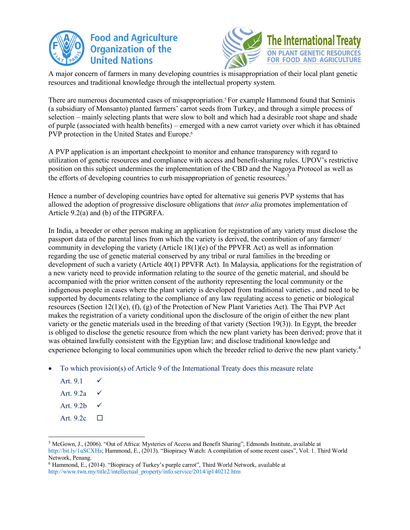



A major concern of farmers in many developing countries is misappropriation of their local plant genetic resources and traditional knowledge through the intellectual property system.

There are numerous documented cases of misappropriation. <sup>5</sup> For example Hammond found that Seminis (a subsidiary of Monsanto) planted farmers' carrot seeds from Turkey, and through a simple process of selection – mainly selecting plants that were slow to bolt and which had a desirable root shape and shade of purple (associated with health benefits) – emerged with a new carrot variety over which it has obtained PVP protection in the United States and Europe.<sup>6</sup>

A PVP application is an important checkpoint to monitor and enhance transparency with regard to utilization of genetic resources and compliance with access and benefit-sharing rules. UPOV's restrictive position on this subject undermines the implementation of the CBD and the Nagoya Protocol as well as the efforts of developing countries to curb misappropriation of genetic resources.<sup>3</sup>

Hence a number of developing countries have opted for alternative sui generis PVP systems that has allowed the adoption of progressive disclosure obligations that *inter alia* promotes implementation of Article 9.2(a) and (b) of the ITPGRFA.

In India, a breeder or other person making an application for registration of any variety must disclose the passport data of the parental lines from which the variety is derived, the contribution of any farmer/ community in developing the variety (Article 18(1)(e) of the PPVFR Act) as well as information regarding the use of genetic material conserved by any tribal or rural families in the breeding or development of such a variety (Article 40(1) PPVFR Act). In Malaysia, applications for the registration of a new variety need to provide information relating to the source of the genetic material, and should be accompanied with the prior written consent of the authority representing the local community or the indigenous people in cases where the plant variety is developed from traditional varieties , and need to be supported by documents relating to the compliance of any law regulating access to genetic or biological resources (Section 12(1)(e), (f), (g) of the Protection of New Plant Varieties Act). The Thai PVP Act makes the registration of a variety conditional upon the disclosure of the origin of either the new plant variety or the genetic materials used in the breeding of that variety (Section 19(3)). In Egypt, the breeder is obliged to disclose the genetic resource from which the new plant variety has been derived; prove that it was obtained lawfully consistent with the Egyptian law; and disclose traditional knowledge and experience belonging to local communities upon which the breeder relied to derive the new plant variety.<sup>4</sup>

• To which provision(s) of Article 9 of the International Treaty does this measure relate

| Art. 9.1  |   |
|-----------|---|
| Art. 9.2a |   |
| Art. 9.2b |   |
| Art. 9.2c | П |

 <sup>5</sup> McGown, J., (2006). "Out of Africa: Mysteries of Access and Benefit Sharing", Edmonds Institute, available at http://bit.ly/1uSCXHa; Hammond, E., (2013). "Biopiracy Watch: A compilation of some recent cases", Vol. 1. Third World Network, Penang.

<sup>6</sup> Hammond, E., (2014). "Biopiracy of Turkey's purple carrot", Third World Network, available at http://www.twn.my/title2/intellectual\_property/info.service/2014/ip140212.htm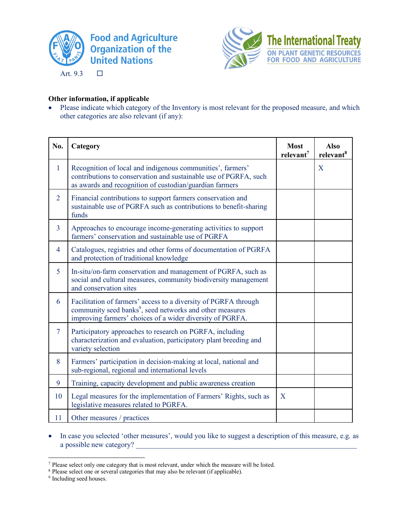

Art.  $9.3$   $\Box$ 



## **Other information, if applicable**

• Please indicate which category of the Inventory is most relevant for the proposed measure, and which other categories are also relevant (if any):

| No.            | Category                                                                                                                                                                                             | <b>Most</b><br>relevant <sup>7</sup> | <b>Also</b><br>relevant <sup>8</sup> |
|----------------|------------------------------------------------------------------------------------------------------------------------------------------------------------------------------------------------------|--------------------------------------|--------------------------------------|
| 1              | Recognition of local and indigenous communities', farmers'<br>contributions to conservation and sustainable use of PGRFA, such<br>as awards and recognition of custodian/guardian farmers            |                                      | X                                    |
| $\overline{2}$ | Financial contributions to support farmers conservation and<br>sustainable use of PGRFA such as contributions to benefit-sharing<br>funds                                                            |                                      |                                      |
| $\overline{3}$ | Approaches to encourage income-generating activities to support<br>farmers' conservation and sustainable use of PGRFA                                                                                |                                      |                                      |
| $\overline{4}$ | Catalogues, registries and other forms of documentation of PGRFA<br>and protection of traditional knowledge                                                                                          |                                      |                                      |
| 5              | In-situ/on-farm conservation and management of PGRFA, such as<br>social and cultural measures, community biodiversity management<br>and conservation sites                                           |                                      |                                      |
| 6              | Facilitation of farmers' access to a diversity of PGRFA through<br>community seed banks <sup>9</sup> , seed networks and other measures<br>improving farmers' choices of a wider diversity of PGRFA. |                                      |                                      |
| $\overline{7}$ | Participatory approaches to research on PGRFA, including<br>characterization and evaluation, participatory plant breeding and<br>variety selection                                                   |                                      |                                      |
| 8              | Farmers' participation in decision-making at local, national and<br>sub-regional, regional and international levels                                                                                  |                                      |                                      |
| 9              | Training, capacity development and public awareness creation                                                                                                                                         |                                      |                                      |
| 10             | Legal measures for the implementation of Farmers' Rights, such as<br>legislative measures related to PGRFA.                                                                                          | X                                    |                                      |
| 11             | Other measures / practices                                                                                                                                                                           |                                      |                                      |

• In case you selected 'other measures', would you like to suggest a description of this measure, e.g. as a possible new category?

<sup>9</sup> Including seed houses.

 <sup>7</sup> Please select only one category that is most relevant, under which the measure will be listed.

<sup>&</sup>lt;sup>8</sup> Please select one or several categories that may also be relevant (if applicable).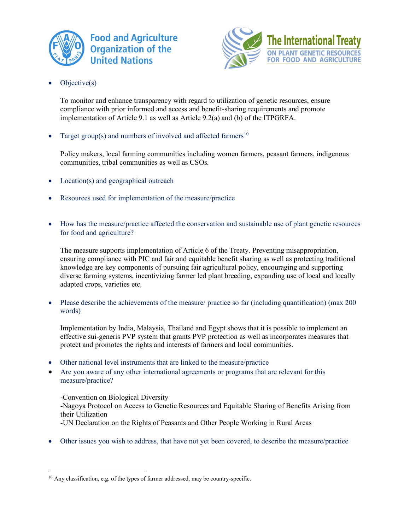



Objective(s)

To monitor and enhance transparency with regard to utilization of genetic resources, ensure compliance with prior informed and access and benefit-sharing requirements and promote implementation of Article 9.1 as well as Article 9.2(a) and (b) of the ITPGRFA.

Target group(s) and numbers of involved and affected farmers<sup>10</sup>

Policy makers, local farming communities including women farmers, peasant farmers, indigenous communities, tribal communities as well as CSOs.

- Location(s) and geographical outreach
- Resources used for implementation of the measure/practice
- How has the measure/practice affected the conservation and sustainable use of plant genetic resources for food and agriculture?

The measure supports implementation of Article 6 of the Treaty. Preventing misappropriation, ensuring compliance with PIC and fair and equitable benefit sharing as well as protecting traditional knowledge are key components of pursuing fair agricultural policy, encouraging and supporting diverse farming systems, incentivizing farmer led plant breeding, expanding use of local and locally adapted crops, varieties etc.

• Please describe the achievements of the measure/ practice so far (including quantification) (max 200) words)

Implementation by India, Malaysia, Thailand and Egypt shows that it is possible to implement an effective sui-generis PVP system that grants PVP protection as well as incorporates measures that protect and promotes the rights and interests of farmers and local communities.

- Other national level instruments that are linked to the measure/practice
- Are you aware of any other international agreements or programs that are relevant for this measure/practice?

-Convention on Biological Diversity

-Nagoya Protocol on Access to Genetic Resources and Equitable Sharing of Benefits Arising from their Utilization

- -UN Declaration on the Rights of Peasants and Other People Working in Rural Areas
- Other issues you wish to address, that have not yet been covered, to describe the measure/practice

<sup>&</sup>lt;sup>10</sup> Any classification, e.g. of the types of farmer addressed, may be country-specific.